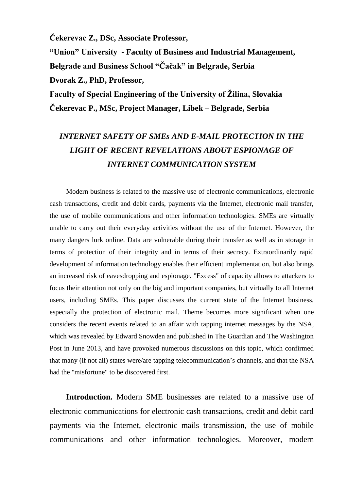**Čekerevac Z., DSc, Associate Professor,** 

**"Union" University - Faculty of Business and Industrial Management,** 

**Belgrade and Business School "Čačak" in Belgrade, Serbia**

**Dvorak Z., PhD, Professor,** 

**Faculty of Special Engineering of the University of Žilina, Slovakia Čekerevac P., MSc, Project Manager, Libek – Belgrade, Serbia**

## *INTERNET SAFETY OF SMEs AND E-MAIL PROTECTION IN THE LIGHT OF RECENT REVELATIONS ABOUT ESPIONAGE OF INTERNET COMMUNICATION SYSTEM*

Modern business is related to the massive use of electronic communications, electronic cash transactions, credit and debit cards, payments via the Internet, electronic mail transfer, the use of mobile communications and other information technologies. SMEs are virtually unable to carry out their everyday activities without the use of the Internet. However, the many dangers lurk online. Data are vulnerable during their transfer as well as in storage in terms of protection of their integrity and in terms of their secrecy. Extraordinarily rapid development of information technology enables their efficient implementation, but also brings an increased risk of eavesdropping and espionage. "Excess" of capacity allows to attackers to focus their attention not only on the big and important companies, but virtually to all Internet users, including SMEs. This paper discusses the current state of the Internet business, especially the protection of electronic mail. Theme becomes more significant when one considers the recent events related to an affair with tapping internet messages by the NSA, which was revealed by Edward Snowden and published in The Guardian and The Washington Post in June 2013, and have provoked numerous discussions on this topic, which confirmed that many (if not all) states were/are tapping telecommunication's channels, and that the NSA had the "misfortune" to be discovered first.

**Introduction.** Modern SME businesses are related to a massive use of electronic communications for electronic cash transactions, credit and debit card payments via the Internet, electronic mails transmission, the use of mobile communications and other information technologies. Moreover, modern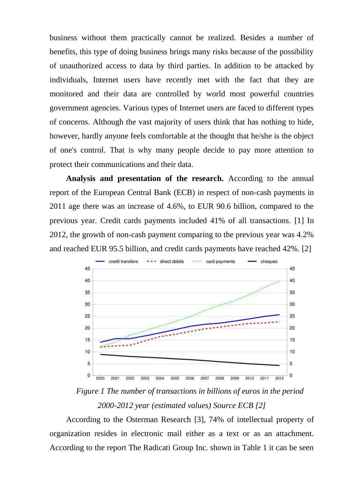business without them practically cannot be realized. Besides a number of benefits, this type of doing business brings many risks because of the possibility of unauthorized access to data by third parties. In addition to be attacked by individuals, Internet users have recently met with the fact that they are monitored and their data are controlled by world most powerful countries government agencies. Various types of Internet users are faced to different types of concerns. Although the vast majority of users think that has nothing to hide, however, hardly anyone feels comfortable at the thought that he/she is the object of one's control. That is why many people decide to pay more attention to protect their communications and their data.

**Analysis and presentation of the research.** According to the annual report of the European Central Bank (ECB) in respect of non-cash payments in 2011 age there was an increase of 4.6%, to EUR 90.6 billion, compared to the previous year. Credit cards payments included 41% of all transactions. [1] In 2012, the growth of non-cash payment comparing to the previous year was 4.2% and reached EUR 95.5 billion, and credit cards payments have reached 42%. [2]



*Figure 1 The number of transactions in billions of euros in the period 2000-2012 year (estimated values) Source ECB [2]*

According to the Osterman Research [3], 74% of intellectual property of organization resides in electronic mail either as a text or as an attachment. According to the report The Radicati Group Inc. shown in Table 1 it can be seen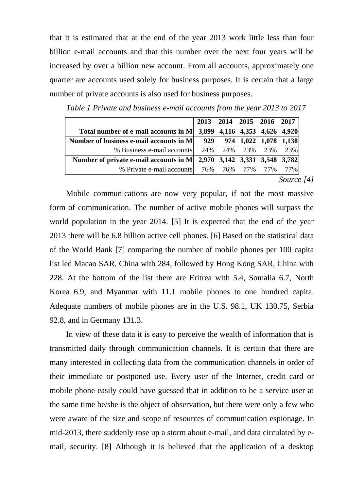that it is estimated that at the end of the year 2013 work little less than four billion e-mail accounts and that this number over the next four years will be increased by over a billion new account. From all accounts, approximately one quarter are accounts used solely for business purposes. It is certain that a large number of private accounts is also used for business purposes.

|                                                                                            | 2013  |         |       | $2014$   2015   2016   2017 |       |
|--------------------------------------------------------------------------------------------|-------|---------|-------|-----------------------------|-------|
| Total number of e-mail accounts in M                                                       | 3,899 |         |       | 4,116 4,353 4,626 4,920     |       |
| Number of business e-mail accounts in M                                                    | 929   |         |       | 974 1,022 1,078 1,138       |       |
| % Business e-mail accounts                                                                 |       |         |       | 24% 24% 23% 23%             | 23%   |
| Number of private e-mail accounts in M $\mid$ 2,970 $\mid$ 3,142 $\mid$ 3,331 $\mid$ 3,548 |       |         |       |                             | 3.782 |
| % Private e-mail accounts                                                                  |       | 76% 76% | 77% l | 77%                         | 77%   |

*Table 1 Private and business e-mail accounts from the year 2013 to 2017*

*Source [4]*

Mobile communications are now very popular, if not the most massive form of communication. The number of active mobile phones will surpass the world population in the year 2014. [5] It is expected that the end of the year 2013 there will be 6.8 billion active cell phones. [6] Based on the statistical data of the World Bank [7] comparing the number of mobile phones per 100 capita list led Macao SAR, China with 284, followed by Hong Kong SAR, China with 228. At the bottom of the list there are Eritrea with 5.4, Somalia 6.7, North Korea 6.9, and Myanmar with 11.1 mobile phones to one hundred capita. Adequate numbers of mobile phones are in the U.S. 98.1, UK 130.75, Serbia 92.8, and in Germany 131.3.

In view of these data it is easy to perceive the wealth of information that is transmitted daily through communication channels. It is certain that there are many interested in collecting data from the communication channels in order of their immediate or postponed use. Every user of the Internet, credit card or mobile phone easily could have guessed that in addition to be a service user at the same time he/she is the object of observation, but there were only a few who were aware of the size and scope of resources of communication espionage. In mid-2013, there suddenly rose up a storm about e-mail, and data circulated by email, security. [8] Although it is believed that the application of a desktop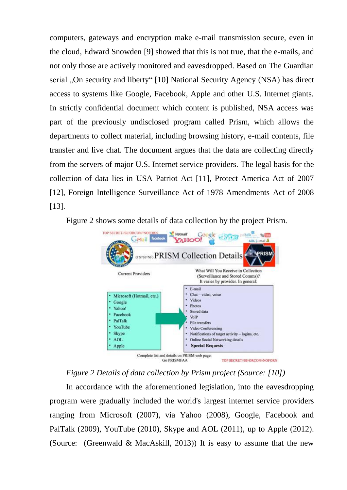computers, gateways and encryption make e-mail transmission secure, even in the cloud, Edward Snowden [9] showed that this is not true, that the e-mails, and not only those are actively monitored and eavesdropped. Based on The Guardian serial "On security and liberty" [10] National Security Agency (NSA) has direct access to systems like Google, Facebook, Apple and other U.S. Internet giants. In strictly confidential document which content is published, NSA access was part of the previously undisclosed program called Prism, which allows the departments to collect material, including browsing history, e-mail contents, file transfer and live chat. The document argues that the data are collecting directly from the servers of major U.S. Internet service providers. The legal basis for the collection of data lies in USA Patriot Act [11], Protect America Act of 2007 [12], Foreign Intelligence Surveillance Act of 1978 Amendments Act of 2008 [13].

Figure 2 shows some details of data collection by the project Prism.



*Figure 2 Details of data collection by Prism project (Source: [10])* 

In accordance with the aforementioned legislation, into the eavesdropping program were gradually included the world's largest internet service providers ranging from Microsoft (2007), via Yahoo (2008), Google, Facebook and PalTalk (2009), YouTube (2010), Skype and AOL (2011), up to Apple (2012). (Source: (Greenwald & MacAskill, 2013)) It is easy to assume that the new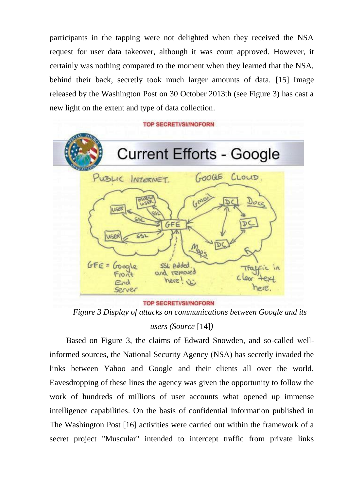participants in the tapping were not delighted when they received the NSA request for user data takeover, although it was court approved. However, it certainly was nothing compared to the moment when they learned that the NSA, behind their back, secretly took much larger amounts of data. [15] Image released by the Washington Post on 30 October 2013th (see Figure 3) has cast a new light on the extent and type of data collection.





**TOP SECRET//SI//NOFORN** 

*Figure 3 Display of attacks on communications between Google and its* 

*users (Source* [14]*)*

Based on Figure 3, the claims of Edward Snowden, and so-called wellinformed sources, the National Security Agency (NSA) has secretly invaded the links between Yahoo and Google and their clients all over the world. Eavesdropping of these lines the agency was given the opportunity to follow the work of hundreds of millions of user accounts what opened up immense intelligence capabilities. On the basis of confidential information published in The Washington Post [16] activities were carried out within the framework of a secret project "Muscular" intended to intercept traffic from private links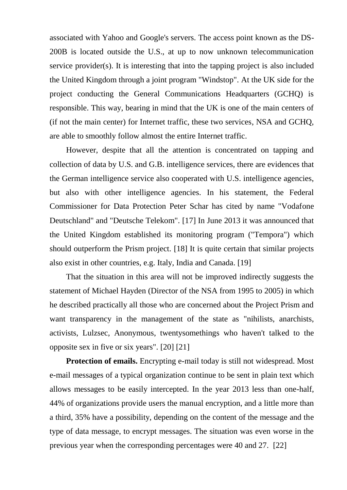associated with Yahoo and Google's servers. The access point known as the DS-200B is located outside the U.S., at up to now unknown telecommunication service provider(s). It is interesting that into the tapping project is also included the United Kingdom through a joint program "Windstop". At the UK side for the project conducting the General Communications Headquarters (GCHQ) is responsible. This way, bearing in mind that the UK is one of the main centers of (if not the main center) for Internet traffic, these two services, NSA and GCHQ, are able to smoothly follow almost the entire Internet traffic.

However, despite that all the attention is concentrated on tapping and collection of data by U.S. and G.B. intelligence services, there are evidences that the German intelligence service also cooperated with U.S. intelligence agencies, but also with other intelligence agencies. In his statement, the Federal Commissioner for Data Protection Peter Schar has cited by name "Vodafone Deutschland" and "Deutsche Telekom". [17] In June 2013 it was announced that the United Kingdom established its monitoring program ("Tempora") which should outperform the Prism project. [18] It is quite certain that similar projects also exist in other countries, e.g. Italy, India and Canada. [19]

That the situation in this area will not be improved indirectly suggests the statement of Michael Hayden (Director of the NSA from 1995 to 2005) in which he described practically all those who are concerned about the Project Prism and want transparency in the management of the state as "nihilists, anarchists, activists, Lulzsec, Anonymous, twentysomethings who haven't talked to the opposite sex in five or six years". [20] [21]

**Protection of emails.** Encrypting e-mail today is still not widespread. Most e-mail messages of a typical organization continue to be sent in plain text which allows messages to be easily intercepted. In the year 2013 less than one-half, 44% of organizations provide users the manual encryption, and a little more than a third, 35% have a possibility, depending on the content of the message and the type of data message, to encrypt messages. The situation was even worse in the previous year when the corresponding percentages were 40 and 27. [22]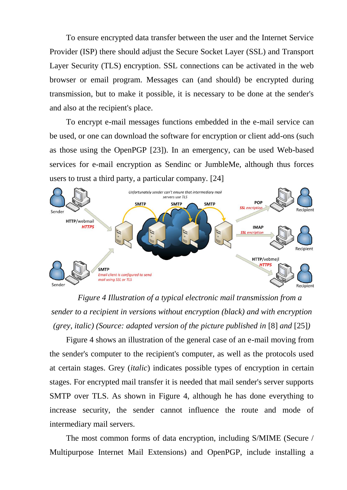To ensure encrypted data transfer between the user and the Internet Service Provider (ISP) there should adjust the Secure Socket Layer (SSL) and Transport Layer Security (TLS) encryption. SSL connections can be activated in the web browser or email program. Messages can (and should) be encrypted during transmission, but to make it possible, it is necessary to be done at the sender's and also at the recipient's place.

To encrypt e-mail messages functions embedded in the e-mail service can be used, or one can download the software for encryption or client add-ons (such as those using the OpenPGP [23]). In an emergency, can be used Web-based services for e-mail encryption as Sendinc or JumbleMe, although thus forces users to trust a third party, a particular company. [24]



*Figure 4 Illustration of a typical electronic mail transmission from a sender to a recipient in versions without encryption (black) and with encryption (grey, italic) (Source: adapted version of the picture published in* [8] *and* [25]*)*

Figure 4 shows an illustration of the general case of an e-mail moving from the sender's computer to the recipient's computer, as well as the protocols used at certain stages. Grey (*italic*) indicates possible types of encryption in certain stages. For encrypted mail transfer it is needed that mail sender's server supports SMTP over TLS. As shown in Figure 4, although he has done everything to increase security, the sender cannot influence the route and mode of intermediary mail servers.

The most common forms of data encryption, including S/MIME (Secure / Multipurpose Internet Mail Extensions) and OpenPGP, include installing a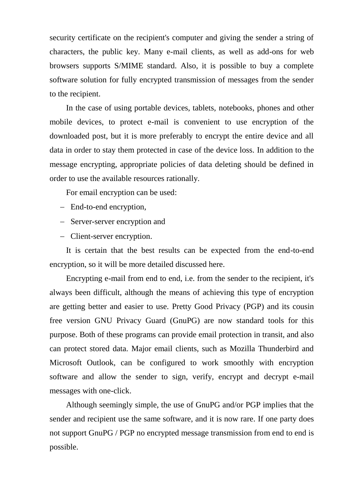security certificate on the recipient's computer and giving the sender a string of characters, the public key. Many e-mail clients, as well as add-ons for web browsers supports S/MIME standard. Also, it is possible to buy a complete software solution for fully encrypted transmission of messages from the sender to the recipient.

In the case of using portable devices, tablets, notebooks, phones and other mobile devices, to protect e-mail is convenient to use encryption of the downloaded post, but it is more preferably to encrypt the entire device and all data in order to stay them protected in case of the device loss. In addition to the message encrypting, appropriate policies of data deleting should be defined in order to use the available resources rationally.

For email encryption can be used:

- End-to-end encryption,
- Server-server encryption and
- Client-server encryption.

It is certain that the best results can be expected from the end-to-end encryption, so it will be more detailed discussed here.

Encrypting e-mail from end to end, i.e. from the sender to the recipient, it's always been difficult, although the means of achieving this type of encryption are getting better and easier to use. Pretty Good Privacy (PGP) and its cousin free version GNU Privacy Guard (GnuPG) are now standard tools for this purpose. Both of these programs can provide email protection in transit, and also can protect stored data. Major email clients, such as Mozilla Thunderbird and Microsoft Outlook, can be configured to work smoothly with encryption software and allow the sender to sign, verify, encrypt and decrypt e-mail messages with one-click.

Although seemingly simple, the use of GnuPG and/or PGP implies that the sender and recipient use the same software, and it is now rare. If one party does not support GnuPG / PGP no encrypted message transmission from end to end is possible.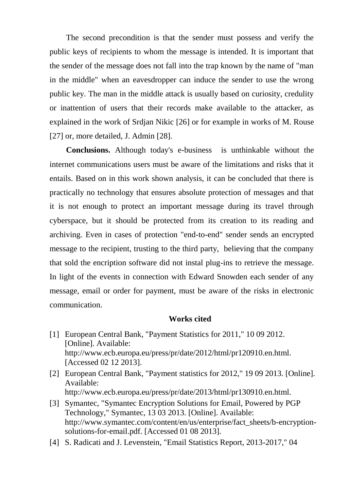The second precondition is that the sender must possess and verify the public keys of recipients to whom the message is intended. It is important that the sender of the message does not fall into the trap known by the name of "man in the middle" when an eavesdropper can induce the sender to use the wrong public key. The man in the middle attack is usually based on curiosity, credulity or inattention of users that their records make available to the attacker, as explained in the work of Srdjan Nikic [26] or for example in works of M. Rouse [27] or, more detailed, J. Admin [28].

**Conclusions.** Although today's e-business is unthinkable without the internet communications users must be aware of the limitations and risks that it entails. Based on in this work shown analysis, it can be concluded that there is practically no technology that ensures absolute protection of messages and that it is not enough to protect an important message during its travel through cyberspace, but it should be protected from its creation to its reading and archiving. Even in cases of protection "end-to-end" sender sends an encrypted message to the recipient, trusting to the third party, believing that the company that sold the encription software did not instal plug-ins to retrieve the message. In light of the events in connection with Edward Snowden each sender of any message, email or order for payment, must be aware of the risks in electronic communication.

## **Works cited**

- [1] European Central Bank, "Payment Statistics for 2011," 10 09 2012. [Online]. Available: http://www.ecb.europa.eu/press/pr/date/2012/html/pr120910.en.html. [Accessed 02 12 2013].
- [2] European Central Bank, "Payment statistics for 2012," 19 09 2013. [Online]. Available: http://www.ecb.europa.eu/press/pr/date/2013/html/pr130910.en.html.
- [3] Symantec, "Symantec Encryption Solutions for Email, Powered by PGP Technology," Symantec, 13 03 2013. [Online]. Available: http://www.symantec.com/content/en/us/enterprise/fact\_sheets/b-encryptionsolutions-for-email.pdf. [Accessed 01 08 2013].
- [4] S. Radicati and J. Levenstein, "Email Statistics Report, 2013-2017," 04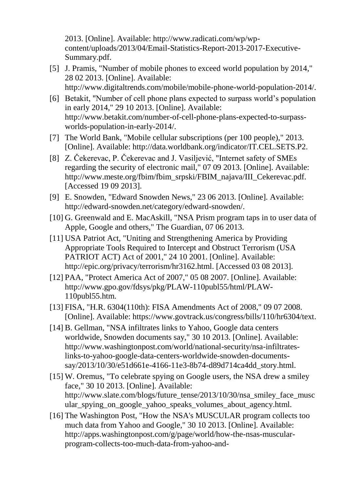2013. [Online]. Available: http://www.radicati.com/wp/wpcontent/uploads/2013/04/Email-Statistics-Report-2013-2017-Executive-Summary.pdf.

- [5] J. Pramis, "Number of mobile phones to exceed world population by 2014," 28 02 2013. [Online]. Available: http://www.digitaltrends.com/mobile/mobile-phone-world-population-2014/.
- [6] Betakit, "Number of cell phone plans expected to surpass world's population in early 2014," 29 10 2013. [Online]. Available: http://www.betakit.com/number-of-cell-phone-plans-expected-to-surpassworlds-population-in-early-2014/.
- [7] The World Bank, "Mobile cellular subscriptions (per 100 people)," 2013. [Online]. Available: http://data.worldbank.org/indicator/IT.CEL.SETS.P2.
- [8] Z. Čekerevac, P. Čekerevac and J. Vasiljević, "Internet safety of SMEs regarding the security of electronic mail," 07 09 2013. [Online]. Available: http://www.meste.org/fbim/fbim\_srpski/FBIM\_najava/III\_Cekerevac.pdf. [Accessed 19 09 2013].
- [9] E. Snowden, "Edward Snowden News," 23 06 2013. [Online]. Available: http://edward-snowden.net/category/edward-snowden/.
- [10] G. Greenwald and E. MacAskill, "NSA Prism program taps in to user data of Apple, Google and others," The Guardian, 07 06 2013.
- [11] USA Patriot Act, "Uniting and Strengthening America by Providing Appropriate Tools Required to Intercept and Obstruct Terrorism (USA PATRIOT ACT) Act of 2001," 24 10 2001. [Online]. Available: http://epic.org/privacy/terrorism/hr3162.html. [Accessed 03 08 2013].
- [12] PAA, "Protect America Act of 2007," 05 08 2007. [Online]. Available: http://www.gpo.gov/fdsys/pkg/PLAW-110publ55/html/PLAW-110publ55.htm.
- [13] FISA, "H.R. 6304(110th): FISA Amendments Act of 2008," 09 07 2008. [Online]. Available: https://www.govtrack.us/congress/bills/110/hr6304/text.
- [14] B. Gellman, "NSA infiltrates links to Yahoo, Google data centers worldwide, Snowden documents say," 30 10 2013. [Online]. Available: http://www.washingtonpost.com/world/national-security/nsa-infiltrateslinks-to-yahoo-google-data-centers-worldwide-snowden-documentssay/2013/10/30/e51d661e-4166-11e3-8b74-d89d714ca4dd\_story.html.
- [15] W. Oremus, "To celebrate spying on Google users, the NSA drew a smiley face," 30 10 2013. [Online]. Available: http://www.slate.com/blogs/future\_tense/2013/10/30/nsa\_smiley\_face\_musc ular spying on google yahoo speaks volumes about agency.html.
- [16] The Washington Post, "How the NSA's MUSCULAR program collects too much data from Yahoo and Google," 30 10 2013. [Online]. Available: http://apps.washingtonpost.com/g/page/world/how-the-nsas-muscularprogram-collects-too-much-data-from-yahoo-and-